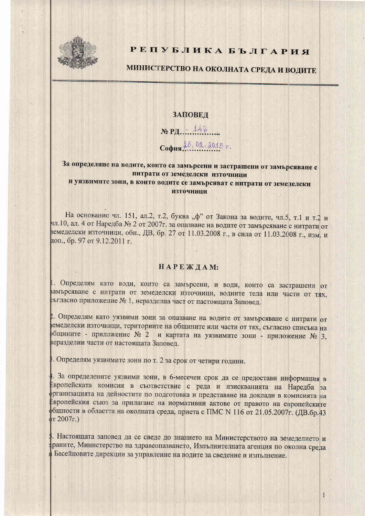

## РЕПУБЛИКА БЪЛГАРИЯ

# МИНИСТЕРСТВО НА ОКОЛНАТА СРЕДА И ВОДИТЕ

#### **ЗАПОВЕД**

 $N<sub>2</sub>$  РД.  $7.448$ 

София 28, 02.2015 г.

### За определяне на водите, които са замърсени и застрашени от замърсяване с нитрати от земеделски източници и уязвимите зони, в които водите се замърсяват с нитрати от земеделски **ИЗТОЧНИЦИ**

На основание чл. 151, ал.2, т.2, буква "ф" от Закона за водите, чл.5, т.1 и т.2 и чл.10, ал. 4 от Наредба № 2 от 2007г. за опазване на водите от замърсяване с нитрати от земеделски източници, обн., ДВ, бр. 27 от 11.03.2008 г., в сила от 11.03.2008 г., изм. и доп., бр. 97 от 9.12.2011 г.

#### НАРЕЖДАМ:

I. Определям като води, които са замърсени, и води, които са застрашени от замърсяване с нитрати от земеделски източници, водните тела или части от тях, съгласно приложение № 1, неразделна част от настоящата Заповед.

2. Определям като уязвими зони за опазване на водите от замърсяване с нитрати от емеделски източници, териториите на общините или части от тях, съгласно списъка на общините - приложение № 2 и картата на уязвимите зони - приложение № 3, теразделни части от настоящата Заповед.

. Определям уязвимите зони по т. 2 за срок от четири години.

. За определените уязвими зони, в 6-месечен срок да се предостави информация в Европейската комисия в съответствие с реда и изискванията на Наредба за рганизацията на дейностите по подготовка и представяне на доклади в комисията на Европейския съюз за прилагане на нормативни актове от правото на европейските бщности в областта на околната среда, приета с ПМС N 116 от 21.05.2007г. (ДВ.бр.43  $r 2007r.$ 

1. Настоящата заповед да се сведе до знанието на Министерството на земеделието и раните, Министерство на здравеопазването, Изпълнителната агенция по околна среда Басейновите дирекции за управление на водите за сведение и изпълнение.

 $\mathbf{I}$